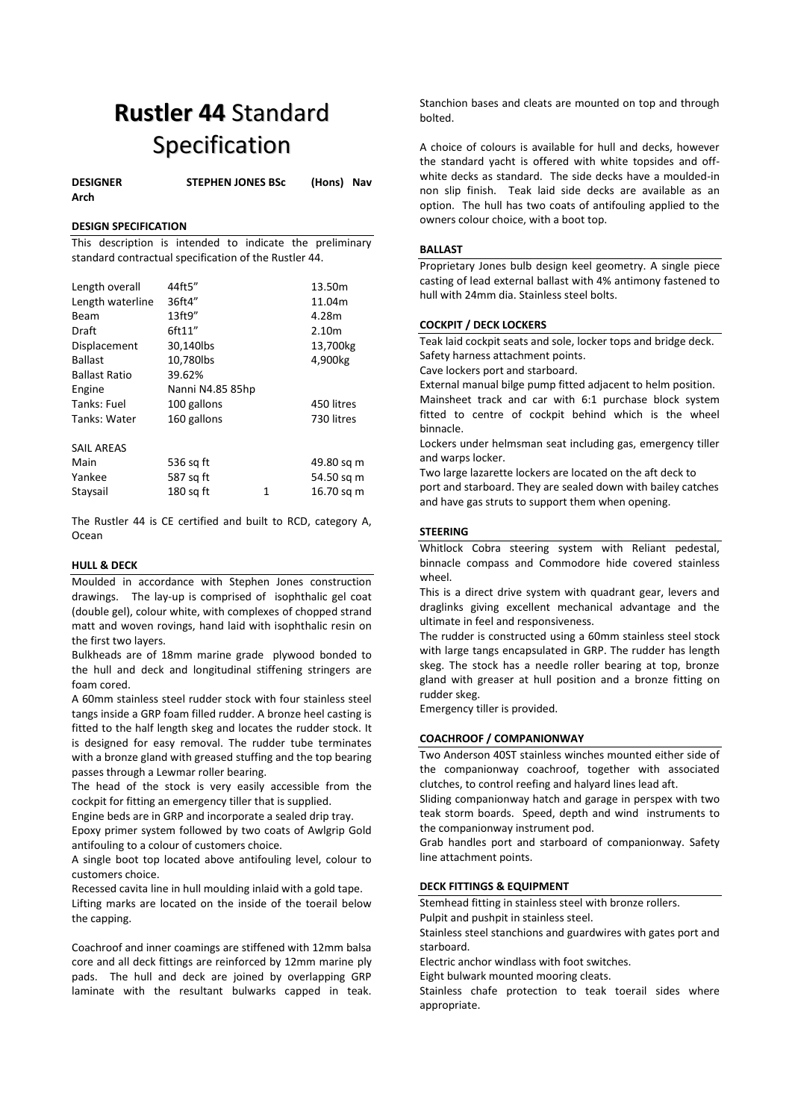# **Rustler 44** Standard Specification

| <b>DESIGNER</b> | <b>STEPHEN JONES BSC</b> | (Hons) Nav |  |
|-----------------|--------------------------|------------|--|
| Arch            |                          |            |  |

#### **DESIGN SPECIFICATION**

This description is intended to indicate the preliminary standard contractual specification of the Rustler 44.

| Length overall       | 44ft5"           |   | 13.50m            |
|----------------------|------------------|---|-------------------|
| Length waterline     | 36ft4"           |   | 11.04m            |
| Beam                 | 13ft9"           |   | 4.28m             |
| Draft                | 6ft11"           |   | 2.10 <sub>m</sub> |
| Displacement         | 30,140lbs        |   | 13,700kg          |
| <b>Ballast</b>       | 10,780lbs        |   | 4,900kg           |
| <b>Ballast Ratio</b> | 39.62%           |   |                   |
| Engine               | Nanni N4.85 85hp |   |                   |
| Tanks: Fuel          | 100 gallons      |   | 450 litres        |
| Tanks: Water         | 160 gallons      |   | 730 litres        |
| <b>SAIL AREAS</b>    |                  |   |                   |
| Main                 | 536 sq ft        |   | 49.80 sq m        |
| Yankee               | 587 sq ft        |   | 54.50 sq m        |
| Staysail             | $180$ sq ft      | 1 | 16.70 sq m        |

The Rustler 44 is CE certified and built to RCD, category A, Ocean

## **HULL & DECK**

Moulded in accordance with Stephen Jones construction drawings. The lay-up is comprised of isophthalic gel coat (double gel), colour white, with complexes of chopped strand matt and woven rovings, hand laid with isophthalic resin on the first two layers.

Bulkheads are of 18mm marine grade plywood bonded to the hull and deck and longitudinal stiffening stringers are foam cored.

A 60mm stainless steel rudder stock with four stainless steel tangs inside a GRP foam filled rudder. A bronze heel casting is fitted to the half length skeg and locates the rudder stock. It is designed for easy removal. The rudder tube terminates with a bronze gland with greased stuffing and the top bearing passes through a Lewmar roller bearing.

The head of the stock is very easily accessible from the cockpit for fitting an emergency tiller that is supplied.

Engine beds are in GRP and incorporate a sealed drip tray. Epoxy primer system followed by two coats of Awlgrip Gold antifouling to a colour of customers choice.

A single boot top located above antifouling level, colour to customers choice.

Recessed cavita line in hull moulding inlaid with a gold tape. Lifting marks are located on the inside of the toerail below the capping.

Coachroof and inner coamings are stiffened with 12mm balsa core and all deck fittings are reinforced by 12mm marine ply pads. The hull and deck are joined by overlapping GRP laminate with the resultant bulwarks capped in teak.

Stanchion bases and cleats are mounted on top and through bolted.

A choice of colours is available for hull and decks, however the standard yacht is offered with white topsides and offwhite decks as standard. The side decks have a moulded-in non slip finish. Teak laid side decks are available as an option. The hull has two coats of antifouling applied to the owners colour choice, with a boot top.

#### **BALLAST**

Proprietary Jones bulb design keel geometry. A single piece casting of lead external ballast with 4% antimony fastened to hull with 24mm dia. Stainless steel bolts.

#### **COCKPIT / DECK LOCKERS**

Teak laid cockpit seats and sole, locker tops and bridge deck. Safety harness attachment points.

Cave lockers port and starboard.

External manual bilge pump fitted adjacent to helm position. Mainsheet track and car with 6:1 purchase block system fitted to centre of cockpit behind which is the wheel binnacle.

Lockers under helmsman seat including gas, emergency tiller and warps locker.

Two large lazarette lockers are located on the aft deck to port and starboard. They are sealed down with bailey catches and have gas struts to support them when opening.

## **STEERING**

Whitlock Cobra steering system with Reliant pedestal, binnacle compass and Commodore hide covered stainless wheel.

This is a direct drive system with quadrant gear, levers and draglinks giving excellent mechanical advantage and the ultimate in feel and responsiveness.

The rudder is constructed using a 60mm stainless steel stock with large tangs encapsulated in GRP. The rudder has length skeg. The stock has a needle roller bearing at top, bronze gland with greaser at hull position and a bronze fitting on rudder skeg.

Emergency tiller is provided.

## **COACHROOF / COMPANIONWAY**

Two Anderson 40ST stainless winches mounted either side of the companionway coachroof, together with associated clutches, to control reefing and halyard lines lead aft.

Sliding companionway hatch and garage in perspex with two teak storm boards. Speed, depth and wind instruments to the companionway instrument pod.

Grab handles port and starboard of companionway. Safety line attachment points.

#### **DECK FITTINGS & EQUIPMENT**

Stemhead fitting in stainless steel with bronze rollers. Pulpit and pushpit in stainless steel.

Stainless steel stanchions and guardwires with gates port and starboard.

Electric anchor windlass with foot switches.

Eight bulwark mounted mooring cleats.

Stainless chafe protection to teak toerail sides where appropriate.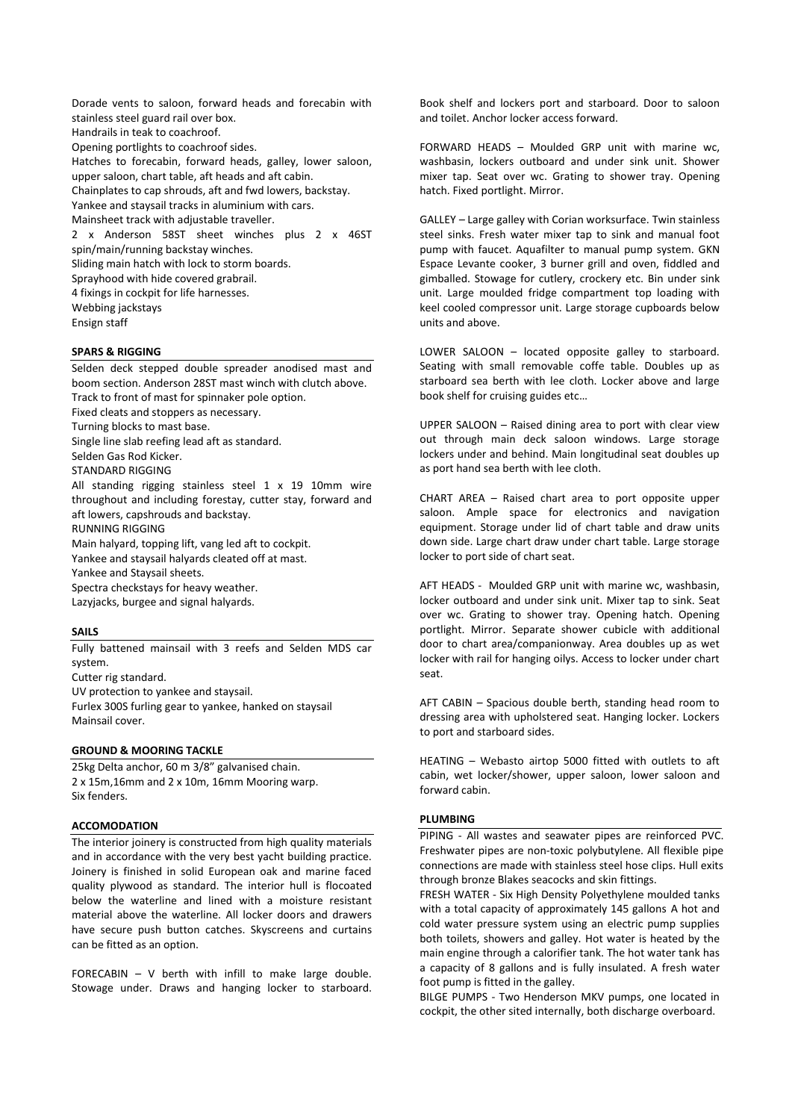Dorade vents to saloon, forward heads and forecabin with stainless steel guard rail over box. Handrails in teak to coachroof. Opening portlights to coachroof sides. Hatches to forecabin, forward heads, galley, lower saloon, upper saloon, chart table, aft heads and aft cabin. Chainplates to cap shrouds, aft and fwd lowers, backstay. Yankee and staysail tracks in aluminium with cars. Mainsheet track with adjustable traveller. 2 x Anderson 58ST sheet winches plus 2 x 46ST spin/main/running backstay winches. Sliding main hatch with lock to storm boards. Sprayhood with hide covered grabrail. 4 fixings in cockpit for life harnesses. Webbing jackstays Ensign staff

## **SPARS & RIGGING**

Selden deck stepped double spreader anodised mast and boom section. Anderson 28ST mast winch with clutch above. Track to front of mast for spinnaker pole option. Fixed cleats and stoppers as necessary. Turning blocks to mast base. Single line slab reefing lead aft as standard. Selden Gas Rod Kicker. STANDARD RIGGING All standing rigging stainless steel 1 x 19 10mm wire throughout and including forestay, cutter stay, forward and aft lowers, capshrouds and backstay. RUNNING RIGGING Main halyard, topping lift, vang led aft to cockpit. Yankee and staysail halyards cleated off at mast. Yankee and Staysail sheets. Spectra checkstays for heavy weather. Lazyjacks, burgee and signal halyards.

# **SAILS**

Fully battened mainsail with 3 reefs and Selden MDS car system.

Cutter rig standard.

UV protection to yankee and staysail.

Furlex 300S furling gear to yankee, hanked on staysail Mainsail cover.

# **GROUND & MOORING TACKLE**

25kg Delta anchor, 60 m 3/8" galvanised chain. 2 x 15m,16mm and 2 x 10m, 16mm Mooring warp. Six fenders.

## **ACCOMODATION**

The interior joinery is constructed from high quality materials and in accordance with the very best yacht building practice. Joinery is finished in solid European oak and marine faced quality plywood as standard. The interior hull is flocoated below the waterline and lined with a moisture resistant material above the waterline. All locker doors and drawers have secure push button catches. Skyscreens and curtains can be fitted as an option.

FORECABIN *–* V berth with infill to make large double. Stowage under. Draws and hanging locker to starboard.

Book shelf and lockers port and starboard. Door to saloon and toilet. Anchor locker access forward.

FORWARD HEADS – Moulded GRP unit with marine wc, washbasin, lockers outboard and under sink unit. Shower mixer tap. Seat over wc. Grating to shower tray. Opening hatch. Fixed portlight. Mirror.

GALLEY *–* Large galley with Corian worksurface. Twin stainless steel sinks. Fresh water mixer tap to sink and manual foot pump with faucet. Aquafilter to manual pump system. GKN Espace Levante cooker, 3 burner grill and oven, fiddled and gimballed. Stowage for cutlery, crockery etc. Bin under sink unit. Large moulded fridge compartment top loading with keel cooled compressor unit. Large storage cupboards below units and above.

LOWER SALOON – located opposite galley to starboard. Seating with small removable coffe table. Doubles up as starboard sea berth with lee cloth. Locker above and large book shelf for cruising guides etc…

UPPER SALOON – Raised dining area to port with clear view out through main deck saloon windows. Large storage lockers under and behind. Main longitudinal seat doubles up as port hand sea berth with lee cloth.

CHART AREA – Raised chart area to port opposite upper saloon. Ample space for electronics and navigation equipment. Storage under lid of chart table and draw units down side. Large chart draw under chart table. Large storage locker to port side of chart seat.

AFT HEADS - Moulded GRP unit with marine wc, washbasin, locker outboard and under sink unit. Mixer tap to sink. Seat over wc. Grating to shower tray. Opening hatch. Opening portlight. Mirror. Separate shower cubicle with additional door to chart area/companionway. Area doubles up as wet locker with rail for hanging oilys. Access to locker under chart seat.

AFT CABIN *–* Spacious double berth, standing head room to dressing area with upholstered seat. Hanging locker. Lockers to port and starboard sides.

HEATING – Webasto airtop 5000 fitted with outlets to aft cabin, wet locker/shower, upper saloon, lower saloon and forward cabin.

# **PLUMBING**

PIPING - All wastes and seawater pipes are reinforced PVC. Freshwater pipes are non-toxic polybutylene. All flexible pipe connections are made with stainless steel hose clips. Hull exits through bronze Blakes seacocks and skin fittings.

FRESH WATER - Six High Density Polyethylene moulded tanks with a total capacity of approximately 145 gallons A hot and cold water pressure system using an electric pump supplies both toilets, showers and galley. Hot water is heated by the main engine through a calorifier tank. The hot water tank has a capacity of 8 gallons and is fully insulated. A fresh water foot pump is fitted in the galley.

BILGE PUMPS - Two Henderson MKV pumps, one located in cockpit, the other sited internally, both discharge overboard.